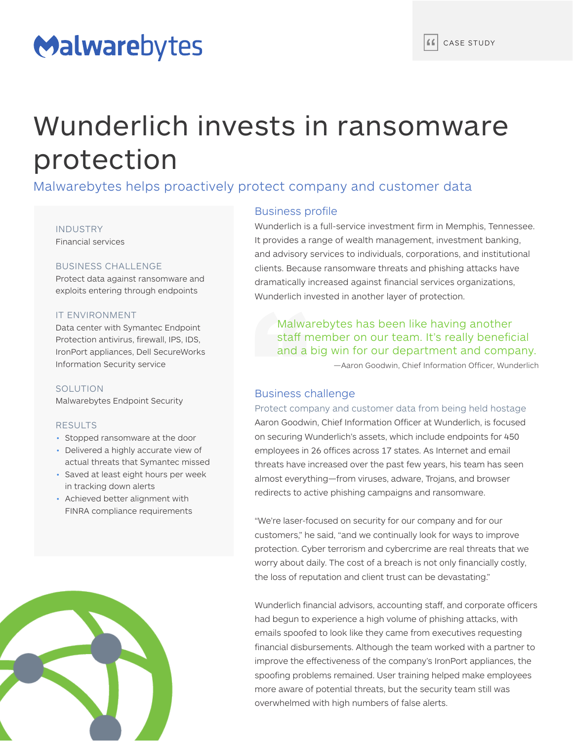## Malwarebytes

# Wunderlich invests in ransomware protection

Malwarebytes helps proactively protect company and customer data

#### INDUSTRY

Financial services

## BUSINESS CHALLENGE

Protect data against ransomware and exploits entering through endpoints

## IT ENVIRONMENT

Data center with Symantec Endpoint Protection antivirus, firewall, IPS, IDS, IronPort appliances, Dell SecureWorks Information Security service

## SOLUTION

Malwarebytes Endpoint Security

#### RESULTS

- Stopped ransomware at the door
- Delivered a highly accurate view of actual threats that Symantec missed
- Saved at least eight hours per week in tracking down alerts
- Achieved better alignment with FINRA compliance requirements



## Business profile

Wunderlich is a full-service investment firm in Memphis, Tennessee. It provides a range of wealth management, investment banking, and advisory services to individuals, corporations, and institutional clients. Because ransomware threats and phishing attacks have dramatically increased against financial services organizations, Wunderlich invested in another layer of protection.

Malwarebytes has been like having another staff member on our team. It's really beneficial and a big win for our department and company.

—Aaron Goodwin, Chief Information Officer, Wunderlich

## Business challenge

Protect company and customer data from being held hostage Aaron Goodwin, Chief Information Officer at Wunderlich, is focused on securing Wunderlich's assets, which include endpoints for 450 employees in 26 offices across 17 states. As Internet and email threats have increased over the past few years, his team has seen almost everything—from viruses, adware, Trojans, and browser redirects to active phishing campaigns and ransomware.

"We're laser-focused on security for our company and for our customers," he said, "and we continually look for ways to improve protection. Cyber terrorism and cybercrime are real threats that we worry about daily. The cost of a breach is not only financially costly, the loss of reputation and client trust can be devastating."

Wunderlich financial advisors, accounting staff, and corporate officers had begun to experience a high volume of phishing attacks, with emails spoofed to look like they came from executives requesting financial disbursements. Although the team worked with a partner to improve the effectiveness of the company's IronPort appliances, the spoofing problems remained. User training helped make employees more aware of potential threats, but the security team still was overwhelmed with high numbers of false alerts.